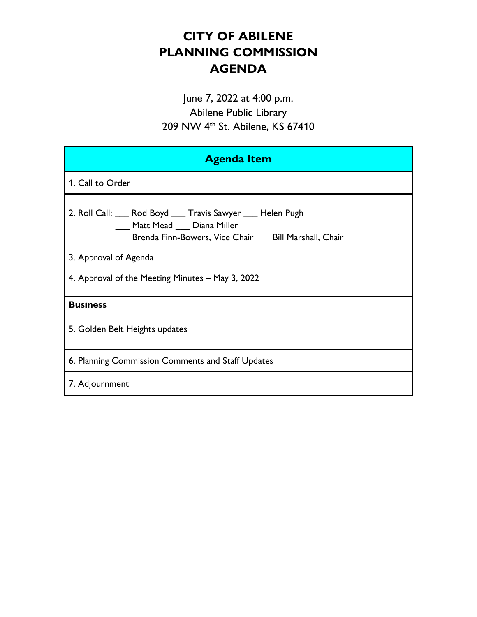# **CITY OF ABILENE PLANNING COMMISSION AGENDA**

June 7, 2022 at 4:00 p.m. Abilene Public Library 209 NW 4th St. Abilene, KS 67410

| <b>Agenda Item</b>                                                                                                                                                                                                                        |
|-------------------------------------------------------------------------------------------------------------------------------------------------------------------------------------------------------------------------------------------|
| 1. Call to Order                                                                                                                                                                                                                          |
| 2. Roll Call: ___ Rod Boyd ___ Travis Sawyer ___ Helen Pugh<br>___ Matt Mead ___ Diana Miller<br>___ Brenda Finn-Bowers, Vice Chair ___ Bill Marshall, Chair<br>3. Approval of Agenda<br>4. Approval of the Meeting Minutes - May 3, 2022 |
| <b>Business</b>                                                                                                                                                                                                                           |
| 5. Golden Belt Heights updates                                                                                                                                                                                                            |
| 6. Planning Commission Comments and Staff Updates                                                                                                                                                                                         |
| 7. Adjournment                                                                                                                                                                                                                            |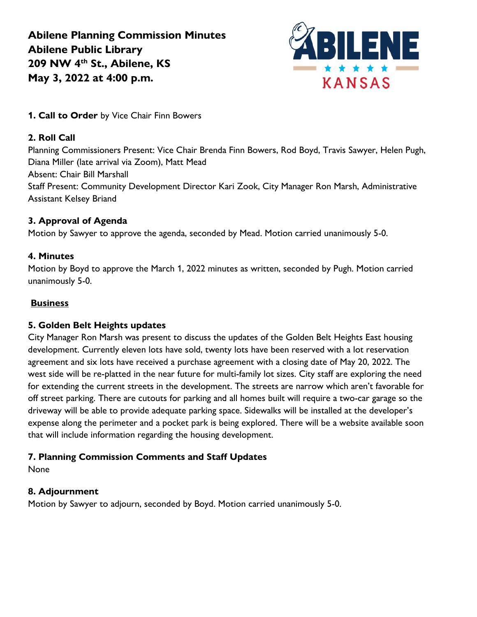**Abilene Planning Commission Minutes Abilene Public Library 209 NW 4th St., Abilene, KS May 3, 2022 at 4:00 p.m.**



**1. Call to Order** by Vice Chair Finn Bowers

### **2. Roll Call**

Planning Commissioners Present: Vice Chair Brenda Finn Bowers, Rod Boyd, Travis Sawyer, Helen Pugh, Diana Miller (late arrival via Zoom), Matt Mead Absent: Chair Bill Marshall Staff Present: Community Development Director Kari Zook, City Manager Ron Marsh, Administrative Assistant Kelsey Briand

#### **3. Approval of Agenda**

Motion by Sawyer to approve the agenda, seconded by Mead. Motion carried unanimously 5-0.

#### **4. Minutes**

Motion by Boyd to approve the March 1, 2022 minutes as written, seconded by Pugh. Motion carried unanimously 5-0.

#### **Business**

#### **5. Golden Belt Heights updates**

City Manager Ron Marsh was present to discuss the updates of the Golden Belt Heights East housing development. Currently eleven lots have sold, twenty lots have been reserved with a lot reservation agreement and six lots have received a purchase agreement with a closing date of May 20, 2022. The west side will be re-platted in the near future for multi-family lot sizes. City staff are exploring the need for extending the current streets in the development. The streets are narrow which aren't favorable for off street parking. There are cutouts for parking and all homes built will require a two-car garage so the driveway will be able to provide adequate parking space. Sidewalks will be installed at the developer's expense along the perimeter and a pocket park is being explored. There will be a website available soon that will include information regarding the housing development.

## **7. Planning Commission Comments and Staff Updates**

None

## **8. Adjournment**

Motion by Sawyer to adjourn, seconded by Boyd. Motion carried unanimously 5-0.